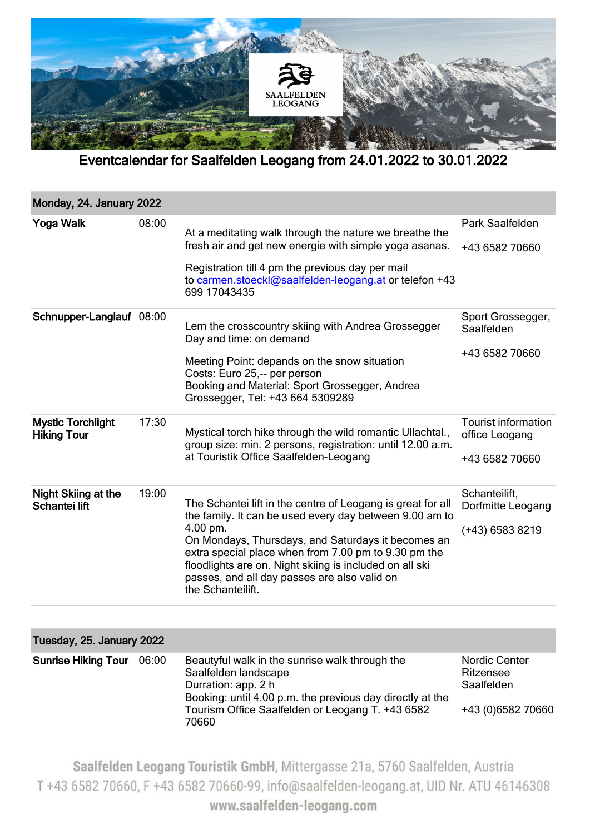

Eventcalendar for Saalfelden Leogang from 24.01.2022 to 30.01.2022

| Monday, 24. January 2022                       |       |                                                                                                                                                                                                                                                                                                                                                                                  |                                                                       |  |
|------------------------------------------------|-------|----------------------------------------------------------------------------------------------------------------------------------------------------------------------------------------------------------------------------------------------------------------------------------------------------------------------------------------------------------------------------------|-----------------------------------------------------------------------|--|
| Yoga Walk                                      | 08:00 | At a meditating walk through the nature we breathe the<br>fresh air and get new energie with simple yoga asanas.<br>Registration till 4 pm the previous day per mail<br>to carmen.stoeckl@saalfelden-leogang.at or telefon +43<br>699 17043435                                                                                                                                   | Park Saalfelden<br>+43 6582 70660                                     |  |
| Schnupper-Langlauf 08:00                       |       | Lern the crosscountry skiing with Andrea Grossegger<br>Day and time: on demand<br>Meeting Point: depands on the snow situation<br>Costs: Euro 25,-- per person<br>Booking and Material: Sport Grossegger, Andrea<br>Grossegger, Tel: +43 664 5309289                                                                                                                             | Sport Grossegger,<br>Saalfelden<br>+43 6582 70660                     |  |
| <b>Mystic Torchlight</b><br><b>Hiking Tour</b> | 17:30 | Mystical torch hike through the wild romantic Ullachtal.,<br>group size: min. 2 persons, registration: until 12.00 a.m.<br>at Touristik Office Saalfelden-Leogang                                                                                                                                                                                                                | <b>Tourist information</b><br>office Leogang<br>+43 6582 70660        |  |
| Night Skiing at the<br>Schantei lift           | 19:00 | The Schantei lift in the centre of Leogang is great for all<br>the family. It can be used every day between 9.00 am to<br>4.00 pm.<br>On Mondays, Thursdays, and Saturdays it becomes an<br>extra special place when from 7.00 pm to 9.30 pm the<br>floodlights are on. Night skiing is included on all ski<br>passes, and all day passes are also valid on<br>the Schanteilift. | Schanteilift,<br>Dorfmitte Leogang<br>(+43) 6583 8219                 |  |
|                                                |       |                                                                                                                                                                                                                                                                                                                                                                                  |                                                                       |  |
| Tuesday, 25. January 2022                      |       |                                                                                                                                                                                                                                                                                                                                                                                  |                                                                       |  |
| <b>Sunrise Hiking Tour</b>                     | 06:00 | Beautyful walk in the sunrise walk through the<br>Saalfelden landscape<br>Durration: app. 2 h<br>Booking: until 4.00 p.m. the previous day directly at the<br>Tourism Office Saalfelden or Leogang T. +43 6582<br>70660                                                                                                                                                          | <b>Nordic Center</b><br>Ritzensee<br>Saalfelden<br>+43 (0) 6582 70660 |  |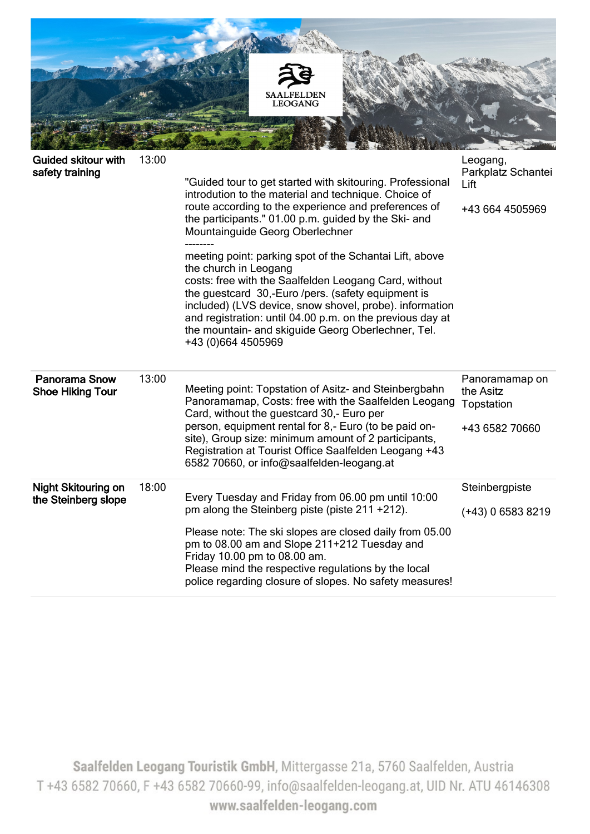

| <b>Guided skitour with</b><br>safety training     | 13:00 | "Guided tour to get started with skitouring. Professional<br>introdution to the material and technique. Choice of<br>route according to the experience and preferences of<br>the participants." 01.00 p.m. guided by the Ski- and<br>Mountainguide Georg Oberlechner<br>meeting point: parking spot of the Schantai Lift, above<br>the church in Leogang<br>costs: free with the Saalfelden Leogang Card, without<br>the guestcard 30,-Euro /pers. (safety equipment is<br>included) (LVS device, snow shovel, probe). information<br>and registration: until 04.00 p.m. on the previous day at<br>the mountain- and skiguide Georg Oberlechner, Tel.<br>+43 (0)664 4505969 | Leogang,<br>Parkplatz Schantei<br>Lift<br>+43 664 4505969   |
|---------------------------------------------------|-------|-----------------------------------------------------------------------------------------------------------------------------------------------------------------------------------------------------------------------------------------------------------------------------------------------------------------------------------------------------------------------------------------------------------------------------------------------------------------------------------------------------------------------------------------------------------------------------------------------------------------------------------------------------------------------------|-------------------------------------------------------------|
| <b>Panorama Snow</b><br><b>Shoe Hiking Tour</b>   | 13:00 | Meeting point: Topstation of Asitz- and Steinbergbahn<br>Panoramamap, Costs: free with the Saalfelden Leogang<br>Card, without the guestcard 30,- Euro per<br>person, equipment rental for 8,- Euro (to be paid on-<br>site), Group size: minimum amount of 2 participants,<br>Registration at Tourist Office Saalfelden Leogang +43<br>6582 70660, or info@saalfelden-leogang.at                                                                                                                                                                                                                                                                                           | Panoramamap on<br>the Asitz<br>Topstation<br>+43 6582 70660 |
| <b>Night Skitouring on</b><br>the Steinberg slope | 18:00 | Every Tuesday and Friday from 06.00 pm until 10:00<br>pm along the Steinberg piste (piste 211 +212).<br>Please note: The ski slopes are closed daily from 05.00<br>pm to 08.00 am and Slope 211+212 Tuesday and<br>Friday 10.00 pm to 08.00 am.<br>Please mind the respective regulations by the local<br>police regarding closure of slopes. No safety measures!                                                                                                                                                                                                                                                                                                           | Steinbergpiste<br>$(+43)$ 0 6583 8219                       |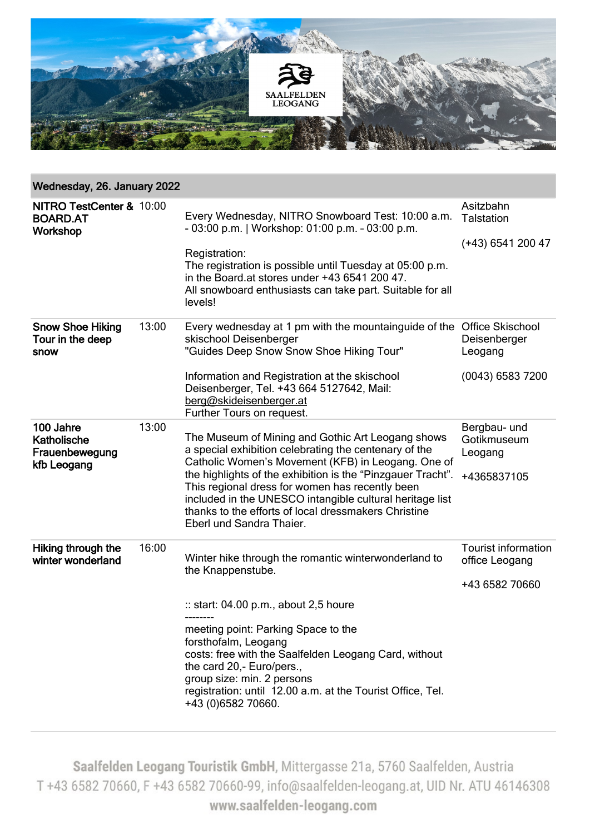

| Wednesday, 26. January 2022 |                                                                                                                                                                                                                                                                                                                                                                                                                                    |                                                                        |  |  |  |
|-----------------------------|------------------------------------------------------------------------------------------------------------------------------------------------------------------------------------------------------------------------------------------------------------------------------------------------------------------------------------------------------------------------------------------------------------------------------------|------------------------------------------------------------------------|--|--|--|
| NITRO TestCenter & 10:00    | Every Wednesday, NITRO Snowboard Test: 10:00 a.m.<br>- 03:00 p.m.   Workshop: 01:00 p.m. - 03:00 p.m.<br>Registration:<br>The registration is possible until Tuesday at 05:00 p.m.<br>in the Board at stores under +43 6541 200 47.<br>All snowboard enthusiasts can take part. Suitable for all<br>levels!                                                                                                                        | Asitzbahn<br><b>Talstation</b><br>(+43) 6541 200 47                    |  |  |  |
| 13:00                       | Every wednesday at 1 pm with the mountainguide of the<br>skischool Deisenberger<br>"Guides Deep Snow Snow Shoe Hiking Tour"<br>Information and Registration at the skischool<br>Deisenberger, Tel. +43 664 5127642, Mail:<br>berg@skideisenberger.at<br>Further Tours on request.                                                                                                                                                  | <b>Office Skischool</b><br>Deisenberger<br>Leogang<br>(0043) 6583 7200 |  |  |  |
| 13:00                       | The Museum of Mining and Gothic Art Leogang shows<br>a special exhibition celebrating the centenary of the<br>Catholic Women's Movement (KFB) in Leogang. One of<br>the highlights of the exhibition is the "Pinzgauer Tracht".<br>This regional dress for women has recently been<br>included in the UNESCO intangible cultural heritage list<br>thanks to the efforts of local dressmakers Christine<br>Eberl und Sandra Thaier. | Bergbau- und<br>Gotikmuseum<br>Leogang<br>+4365837105                  |  |  |  |
| 16:00                       | Winter hike through the romantic winterwonderland to<br>the Knappenstube.<br>:: start: 04.00 p.m., about 2,5 houre<br>meeting point: Parking Space to the<br>forsthofalm, Leogang<br>costs: free with the Saalfelden Leogang Card, without<br>the card 20,- Euro/pers.,<br>group size: min. 2 persons<br>registration: until 12.00 a.m. at the Tourist Office, Tel.                                                                | <b>Tourist information</b><br>office Leogang<br>+43 6582 70660         |  |  |  |
|                             |                                                                                                                                                                                                                                                                                                                                                                                                                                    | +43 (0) 6582 70660.                                                    |  |  |  |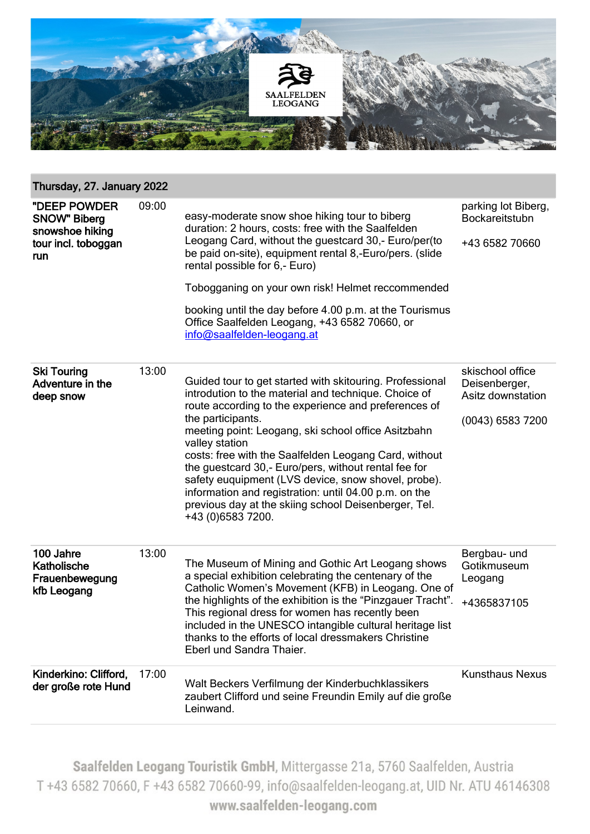

## Thursday, 27. January 2022

| "DEEP POWDER<br><b>SNOW" Biberg</b><br>snowshoe hiking<br>tour incl. toboggan<br>run | 09:00 | easy-moderate snow shoe hiking tour to biberg<br>duration: 2 hours, costs: free with the Saalfelden<br>Leogang Card, without the guestcard 30,- Euro/per(to<br>be paid on-site), equipment rental 8,-Euro/pers. (slide<br>rental possible for 6,- Euro)<br>Tobogganing on your own risk! Helmet reccommended<br>booking until the day before 4.00 p.m. at the Tourismus<br>Office Saalfelden Leogang, +43 6582 70660, or<br>info@saalfelden-leogang.at                                                                                                                               | parking lot Biberg,<br>Bockareitstubn<br>+43 6582 70660                    |
|--------------------------------------------------------------------------------------|-------|--------------------------------------------------------------------------------------------------------------------------------------------------------------------------------------------------------------------------------------------------------------------------------------------------------------------------------------------------------------------------------------------------------------------------------------------------------------------------------------------------------------------------------------------------------------------------------------|----------------------------------------------------------------------------|
| <b>Ski Touring</b><br>Adventure in the<br>deep snow                                  | 13:00 | Guided tour to get started with skitouring. Professional<br>introdution to the material and technique. Choice of<br>route according to the experience and preferences of<br>the participants.<br>meeting point: Leogang, ski school office Asitzbahn<br>valley station<br>costs: free with the Saalfelden Leogang Card, without<br>the guestcard 30,- Euro/pers, without rental fee for<br>safety euquipment (LVS device, snow shovel, probe).<br>information and registration: until 04.00 p.m. on the<br>previous day at the skiing school Deisenberger, Tel.<br>+43 (0)6583 7200. | skischool office<br>Deisenberger,<br>Asitz downstation<br>(0043) 6583 7200 |
| 100 Jahre<br><b>Katholische</b><br>Frauenbewegung<br>kfb Leogang                     | 13:00 | The Museum of Mining and Gothic Art Leogang shows<br>a special exhibition celebrating the centenary of the<br>Catholic Women's Movement (KFB) in Leogang. One of<br>the highlights of the exhibition is the "Pinzgauer Tracht".<br>This regional dress for women has recently been<br>included in the UNESCO intangible cultural heritage list<br>thanks to the efforts of local dressmakers Christine<br>Eberl und Sandra Thaier.                                                                                                                                                   | Bergbau- und<br>Gotikmuseum<br>Leogang<br>+4365837105                      |
| Kinderkino: Clifford,<br>der große rote Hund                                         | 17:00 | Walt Beckers Verfilmung der Kinderbuchklassikers<br>zaubert Clifford und seine Freundin Emily auf die große<br>Leinwand.                                                                                                                                                                                                                                                                                                                                                                                                                                                             | <b>Kunsthaus Nexus</b>                                                     |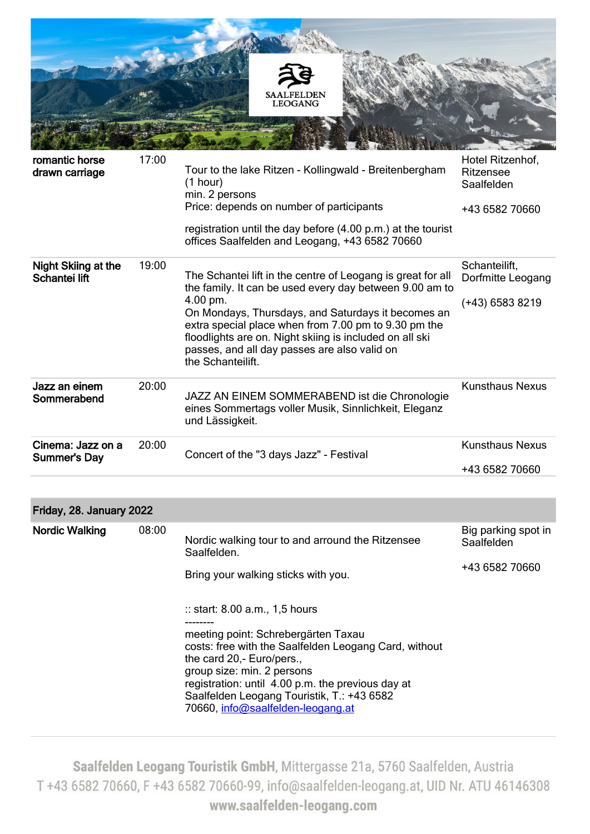

| romantic horse<br>drawn carriage     | 17:00 | Tour to the lake Ritzen - Kollingwald - Breitenbergham<br>(1 hour)<br>min. 2 persons<br>Price: depends on number of participants<br>registration until the day before (4.00 p.m.) at the tourist<br>offices Saalfelden and Leogang, +43 6582 70660                                                                                                                               | Hotel Ritzenhof,<br>Ritzensee<br>Saalfelden<br>+43 6582 70660 |
|--------------------------------------|-------|----------------------------------------------------------------------------------------------------------------------------------------------------------------------------------------------------------------------------------------------------------------------------------------------------------------------------------------------------------------------------------|---------------------------------------------------------------|
| Night Skiing at the<br>Schantei lift | 19:00 | The Schantei lift in the centre of Leogang is great for all<br>the family. It can be used every day between 9.00 am to<br>4.00 pm.<br>On Mondays, Thursdays, and Saturdays it becomes an<br>extra special place when from 7.00 pm to 9.30 pm the<br>floodlights are on. Night skiing is included on all ski<br>passes, and all day passes are also valid on<br>the Schanteilift. | Schanteilift,<br>Dorfmitte Leogang<br>(+43) 6583 8219         |
| Jazz an einem<br>Sommerabend         | 20:00 | JAZZ AN EINEM SOMMERABEND ist die Chronologie<br>eines Sommertags voller Musik, Sinnlichkeit, Eleganz<br>und Lässigkeit.                                                                                                                                                                                                                                                         | <b>Kunsthaus Nexus</b>                                        |
| Cinema: Jazz on a<br>Summer's Day    | 20:00 | Concert of the "3 days Jazz" - Festival                                                                                                                                                                                                                                                                                                                                          | <b>Kunsthaus Nexus</b>                                        |
|                                      |       |                                                                                                                                                                                                                                                                                                                                                                                  | +43 6582 70660                                                |

## Friday, 28. January 2022

| <b>Nordic Walking</b> | 08:00 | Nordic walking tour to and arround the Ritzensee<br>Saalfelden.<br>Bring your walking sticks with you.                                                                                                                                                                                                                                      | Big parking spot in<br>Saalfelden<br>+43 6582 70660 |
|-----------------------|-------|---------------------------------------------------------------------------------------------------------------------------------------------------------------------------------------------------------------------------------------------------------------------------------------------------------------------------------------------|-----------------------------------------------------|
|                       |       | $\therefore$ start: 8.00 a.m., 1,5 hours<br>meeting point: Schrebergärten Taxau<br>costs: free with the Saalfelden Leogang Card, without<br>the card 20,- Euro/pers.,<br>group size: min. 2 persons<br>registration: until 4.00 p.m. the previous day at<br>Saalfelden Leogang Touristik, T.: +43 6582<br>70660, info@saalfelden-leogang.at |                                                     |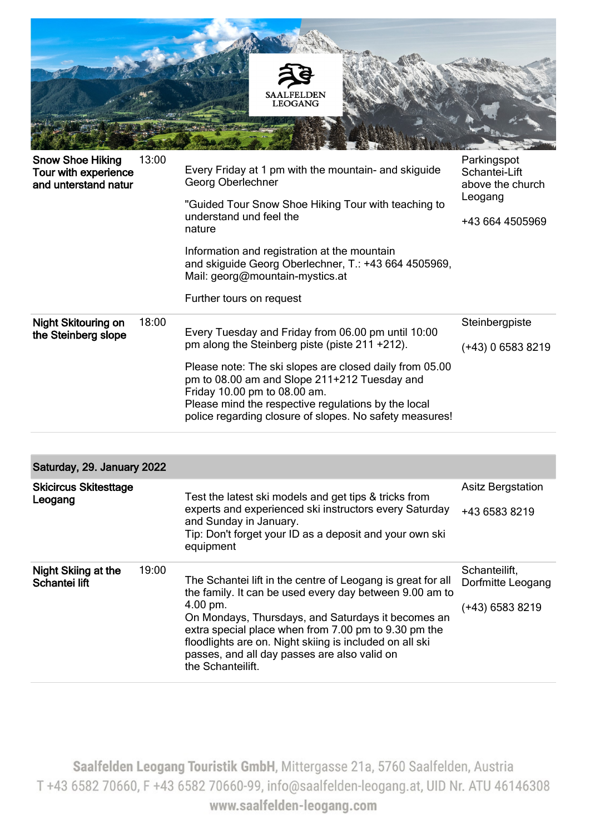

| <b>Snow Shoe Hiking</b><br>Tour with experience<br>and unterstand natur | 13:00 | Every Friday at 1 pm with the mountain- and skiguide<br>Georg Oberlechner<br>"Guided Tour Snow Shoe Hiking Tour with teaching to<br>understand und feel the<br>nature<br>Information and registration at the mountain<br>and skiguide Georg Oberlechner, T.: +43 664 4505969,<br>Mail: georg@mountain-mystics.at<br>Further tours on request                                     | Parkingspot<br>Schantei-Lift<br>above the church<br>Leogang<br>+43 664 4505969 |
|-------------------------------------------------------------------------|-------|----------------------------------------------------------------------------------------------------------------------------------------------------------------------------------------------------------------------------------------------------------------------------------------------------------------------------------------------------------------------------------|--------------------------------------------------------------------------------|
| <b>Night Skitouring on</b><br>the Steinberg slope                       | 18:00 | Every Tuesday and Friday from 06.00 pm until 10:00<br>pm along the Steinberg piste (piste 211 +212).<br>Please note: The ski slopes are closed daily from 05.00<br>pm to 08.00 am and Slope 211+212 Tuesday and<br>Friday 10.00 pm to 08.00 am.<br>Please mind the respective regulations by the local<br>police regarding closure of slopes. No safety measures!                | Steinbergpiste<br>$(+43)$ 0 6583 8219                                          |
|                                                                         |       |                                                                                                                                                                                                                                                                                                                                                                                  |                                                                                |
| Saturday, 29. January 2022                                              |       |                                                                                                                                                                                                                                                                                                                                                                                  |                                                                                |
| <b>Skicircus Skitesttage</b><br>Leogang                                 |       | Test the latest ski models and get tips & tricks from<br>experts and experienced ski instructors every Saturday<br>and Sunday in January.<br>Tip: Don't forget your ID as a deposit and your own ski<br>equipment                                                                                                                                                                | <b>Asitz Bergstation</b><br>+43 6583 8219                                      |
| <b>Night Skiing at the</b><br>Schantei lift                             | 19:00 | The Schantei lift in the centre of Leogang is great for all<br>the family. It can be used every day between 9.00 am to<br>4.00 pm.<br>On Mondays, Thursdays, and Saturdays it becomes an<br>extra special place when from 7.00 pm to 9.30 pm the<br>floodlights are on. Night skiing is included on all ski<br>passes, and all day passes are also valid on<br>the Schanteilift. | Schanteilift,<br>Dorfmitte Leogang<br>$(+43)$ 6583 8219                        |